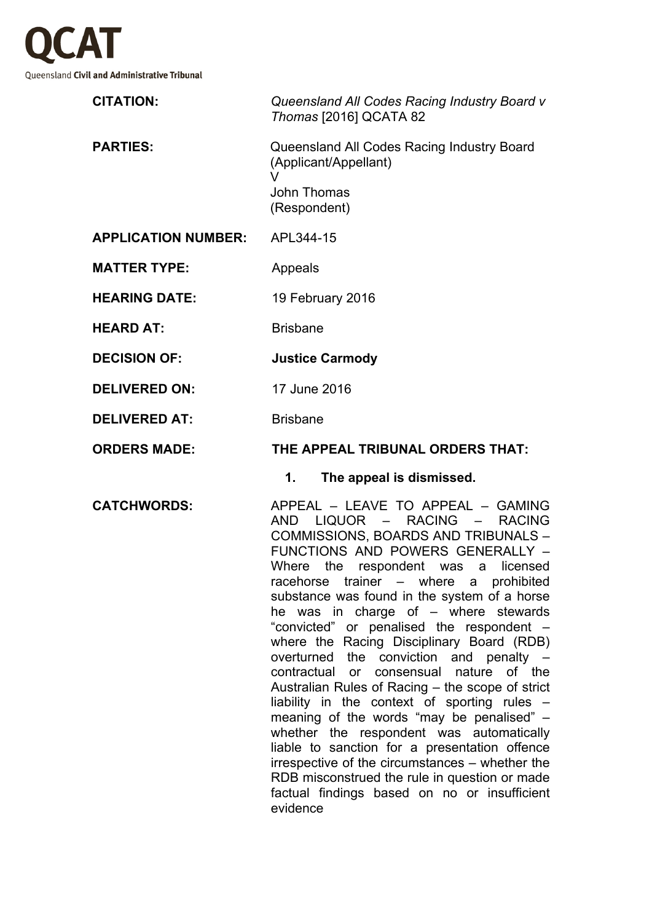

|                            | Queensland All Codes Racing Industry Board v<br>Thomas [2016] QCATA 82   |
|----------------------------|--------------------------------------------------------------------------|
| <b>PARTIES:</b>            | Queensland All Codes Racing Industry Board<br>(Applicant/Appellant)<br>v |
|                            | John Thomas<br>(Respondent)                                              |
| <b>APPLICATION NUMBER:</b> | APL344-15                                                                |
| <b>MATTER TYPE:</b>        | Appeals                                                                  |
| <b>HEARING DATE:</b>       | 19 February 2016                                                         |
| <b>HEARD AT:</b>           | <b>Brisbane</b>                                                          |
| <b>DECISION OF:</b>        | <b>Justice Carmody</b>                                                   |
| <b>DELIVERED ON:</b>       | 17 June 2016                                                             |
| <b>DELIVERED AT:</b>       | <b>Brisbane</b>                                                          |
| <b>ORDERS MADE:</b>        | THE APPEAL TRIBUNAL ORDERS THAT:                                         |
|                            | The appeal is dismissed.<br>1.                                           |
|                            |                                                                          |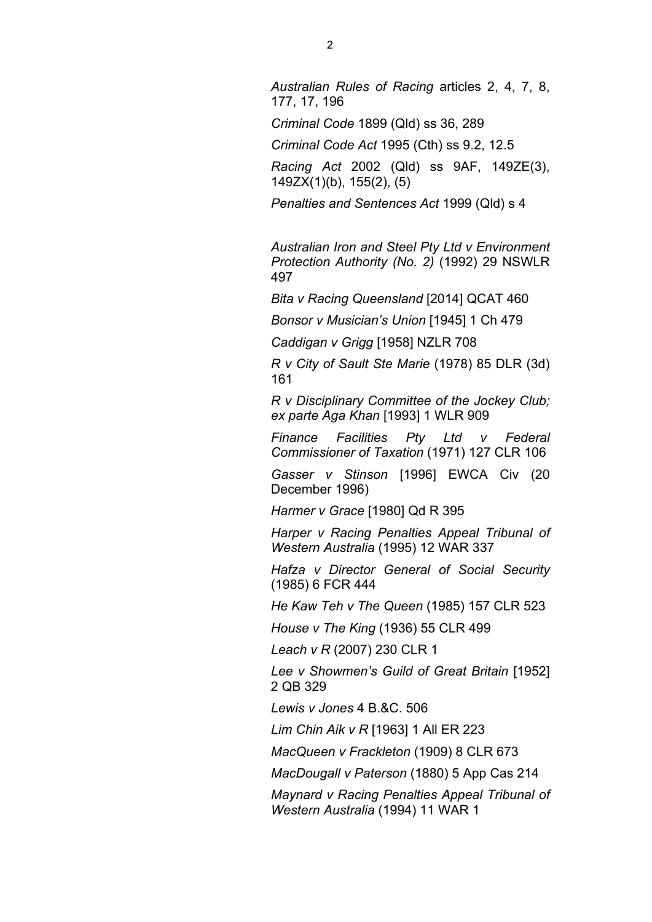*Australian Rules of Racing* articles 2, 4, 7, 8, 177, 17, 196

*Criminal Code* 1899 (Qld) ss 36, 289

*Criminal Code Act* 1995 (Cth) ss 9.2, 12.5

*Racing Act* 2002 (Qld) ss 9AF, 149ZE(3), 149ZX(1)(b), 155(2), (5)

*Penalties and Sentences Act* 1999 (Qld) s 4

*Australian Iron and Steel Pty Ltd v Environment Protection Authority (No. 2)* (1992) 29 NSWLR 497

*Bita v Racing Queensland* [2014] QCAT 460

*Bonsor v Musician's Union* [1945] 1 Ch 479

*Caddigan v Grigg* [1958] NZLR 708

*R v City of Sault Ste Marie* (1978) 85 DLR (3d) 161

*R v Disciplinary Committee of the Jockey Club; ex parte Aga Khan* [1993] 1 WLR 909

*Finance Facilities Pty Ltd v Federal Commissioner of Taxation* (1971) 127 CLR 106

*Gasser v Stinson* [1996] EWCA Civ (20 December 1996)

*Harmer v Grace* [1980] Qd R 395

*Harper v Racing Penalties Appeal Tribunal of Western Australia* (1995) 12 WAR 337

*Hafza v Director General of Social Security*  (1985) 6 FCR 444

*He Kaw Teh v The Queen* (1985) 157 CLR 523

*House v The King* (1936) 55 CLR 499

*Leach v R* (2007) 230 CLR 1

*Lee v Showmen's Guild of Great Britain* [1952] 2 QB 329

*Lewis v Jones* 4 B.&C. 506

*Lim Chin Aik v R* [1963] 1 All ER 223

*MacQueen v Frackleton* (1909) 8 CLR 673

*MacDougall v Paterson* (1880) 5 App Cas 214

*Maynard v Racing Penalties Appeal Tribunal of Western Australia* (1994) 11 WAR 1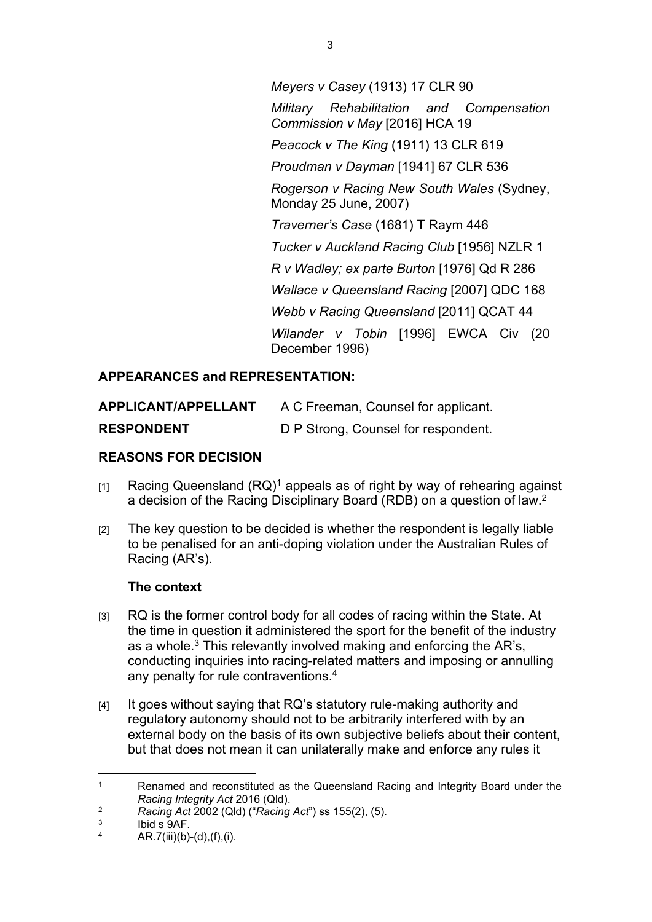*Meyers v Casey* (1913) 17 CLR 90 *Military Rehabilitation and Compensation Commission v May* [2016] HCA 19 *Peacock v The King* (1911) 13 CLR 619 *Proudman v Dayman* [1941] 67 CLR 536 *Rogerson v Racing New South Wales* (Sydney, Monday 25 June, 2007) *Traverner's Case* (1681) T Raym 446 *Tucker v Auckland Racing Club* [1956] NZLR 1 *R v Wadley; ex parte Burton* [1976] Qd R 286 *Wallace v Queensland Racing* [2007] QDC 168 *Webb v Racing Queensland* [2011] QCAT 44 *Wilander v Tobin* [1996] EWCA Civ (20 December 1996)

# **APPEARANCES and REPRESENTATION:**

| APPLICANT/APPELLANT | A C Freeman, Counsel for applicant. |
|---------------------|-------------------------------------|
| <b>RESPONDENT</b>   | D P Strong, Counsel for respondent. |

## **REASONS FOR DECISION**

- $[1]$  Racing Queensland  $(RQ)^1$  appeals as of right by way of rehearing against a decision of the Racing Disciplinary Board (RDB) on a question of law.<sup>2</sup>
- [2] The key question to be decided is whether the respondent is legally liable to be penalised for an anti-doping violation under the Australian Rules of Racing (AR's).

### **The context**

- [3] RQ is the former control body for all codes of racing within the State. At the time in question it administered the sport for the benefit of the industry as a whole.<sup>3</sup> This relevantly involved making and enforcing the AR's, conducting inquiries into racing-related matters and imposing or annulling any penalty for rule contraventions.<sup>4</sup>
- [4] It goes without saying that RQ's statutory rule-making authority and regulatory autonomy should not to be arbitrarily interfered with by an external body on the basis of its own subjective beliefs about their content, but that does not mean it can unilaterally make and enforce any rules it

<sup>1</sup> Renamed and reconstituted as the Queensland Racing and Integrity Board under the *Racing Integrity Act* 2016 (Qld).

<sup>2</sup> *Racing Act* 2002 (Qld) ("*Racing Act*") ss 155(2), (5).

<sup>3</sup> Ibid s 9AF.

<sup>4</sup> AR.7(iii)(b)-(d),(f),(i).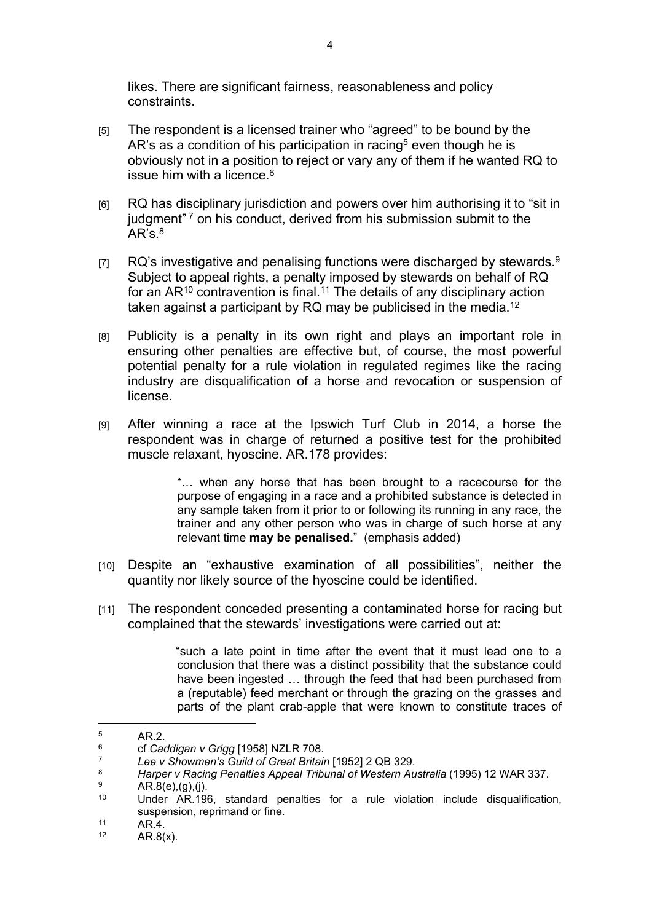likes. There are significant fairness, reasonableness and policy constraints.

- [5] The respondent is a licensed trainer who "agreed" to be bound by the AR's as a condition of his participation in racing<sup>5</sup> even though he is obviously not in a position to reject or vary any of them if he wanted RQ to issue him with a licence. $6$
- [6] RQ has disciplinary jurisdiction and powers over him authorising it to "sit in judgment"<sup>7</sup> on his conduct, derived from his submission submit to the  $AR's.<sup>8</sup>$
- [7] RQ's investigative and penalising functions were discharged by stewards.<sup>9</sup> Subject to appeal rights, a penalty imposed by stewards on behalf of RQ for an  $AR^{10}$  contravention is final.<sup>11</sup> The details of any disciplinary action taken against a participant by  $RQ$  may be publicised in the media.<sup>12</sup>
- [8] Publicity is a penalty in its own right and plays an important role in ensuring other penalties are effective but, of course, the most powerful potential penalty for a rule violation in regulated regimes like the racing industry are disqualification of a horse and revocation or suspension of license.
- [9] After winning a race at the Ipswich Turf Club in 2014, a horse the respondent was in charge of returned a positive test for the prohibited muscle relaxant, hyoscine. AR.178 provides:

"… when any horse that has been brought to a racecourse for the purpose of engaging in a race and a prohibited substance is detected in any sample taken from it prior to or following its running in any race, the trainer and any other person who was in charge of such horse at any relevant time **may be penalised.**"(emphasis added)

- [10] Despite an "exhaustive examination of all possibilities", neither the quantity nor likely source of the hyoscine could be identified.
- [11] The respondent conceded presenting a contaminated horse for racing but complained that the stewards' investigations were carried out at:

"such a late point in time after the event that it must lead one to a conclusion that there was a distinct possibility that the substance could have been ingested … through the feed that had been purchased from a (reputable) feed merchant or through the grazing on the grasses and parts of the plant crab-apple that were known to constitute traces of

<sup>5</sup> AR.2.

<sup>6</sup> <sup>6</sup> cf *Caddigan v Grigg* [1958] NZLR 708.

<sup>7</sup> *Lee v Showmen's Guild of Great Britain* [1952] 2 QB 329.

<sup>8</sup> *Harper v Racing Penalties Appeal Tribunal of Western Australia* (1995) 12 WAR 337.

<sup>9</sup>  $^{9}$  AR.8(e),(g),(j).

Under AR.196, standard penalties for a rule violation include disqualification, suspension, reprimand or fine.

 $11$  AR.4.

 $AR.8(x)$ .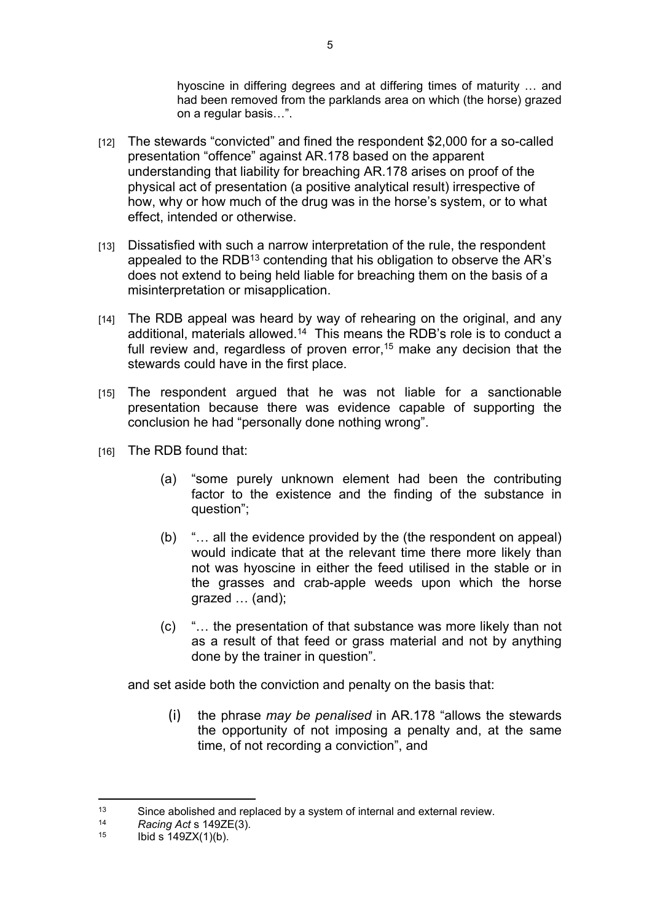hyoscine in differing degrees and at differing times of maturity … and had been removed from the parklands area on which (the horse) grazed on a regular basis…".

- [12] The stewards "convicted" and fined the respondent \$2,000 for a so-called presentation "offence" against AR.178 based on the apparent understanding that liability for breaching AR.178 arises on proof of the physical act of presentation (a positive analytical result) irrespective of how, why or how much of the drug was in the horse's system, or to what effect, intended or otherwise.
- [13] Dissatisfied with such a narrow interpretation of the rule, the respondent appealed to the RDB<sup>13</sup> contending that his obligation to observe the AR's does not extend to being held liable for breaching them on the basis of a misinterpretation or misapplication.
- [14] The RDB appeal was heard by way of rehearing on the original, and any additional, materials allowed.<sup>14</sup> This means the RDB's role is to conduct a full review and, regardless of proven error,<sup>15</sup> make any decision that the stewards could have in the first place.
- [15] The respondent argued that he was not liable for a sanctionable presentation because there was evidence capable of supporting the conclusion he had "personally done nothing wrong".
- [16] The RDB found that:
	- (a) "some purely unknown element had been the contributing factor to the existence and the finding of the substance in question";
	- (b) "… all the evidence provided by the (the respondent on appeal) would indicate that at the relevant time there more likely than not was hyoscine in either the feed utilised in the stable or in the grasses and crab-apple weeds upon which the horse grazed … (and);
	- (c) "… the presentation of that substance was more likely than not as a result of that feed or grass material and not by anything done by the trainer in question".

and set aside both the conviction and penalty on the basis that:

(i) the phrase *may be penalised* in AR.178 "allows the stewards the opportunity of not imposing a penalty and, at the same time, of not recording a conviction", and

<sup>13</sup> Since abolished and replaced by a system of internal and external review.

<sup>14</sup> *Racing Act* s 149ZE(3).

Ibid s  $149ZX(1)(b)$ .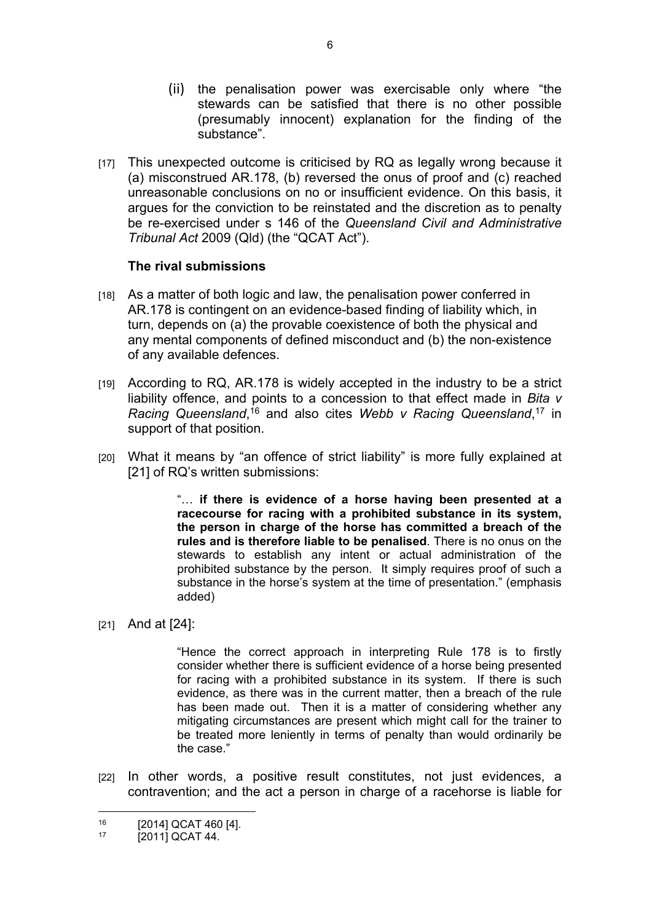- (ii) the penalisation power was exercisable only where "the stewards can be satisfied that there is no other possible (presumably innocent) explanation for the finding of the substance".
- [17] This unexpected outcome is criticised by RQ as legally wrong because it (a) misconstrued AR.178, (b) reversed the onus of proof and (c) reached unreasonable conclusions on no or insufficient evidence. On this basis, it argues for the conviction to be reinstated and the discretion as to penalty be re-exercised under s 146 of the *Queensland Civil and Administrative Tribunal Act* 2009 (Qld) (the "QCAT Act").

#### **The rival submissions**

- [18] As a matter of both logic and law, the penalisation power conferred in AR.178 is contingent on an evidence-based finding of liability which, in turn, depends on (a) the provable coexistence of both the physical and any mental components of defined misconduct and (b) the non-existence of any available defences.
- [19] According to RQ, AR.178 is widely accepted in the industry to be a strict liability offence, and points to a concession to that effect made in *Bita v*  Racing Queensland,<sup>16</sup> and also cites Webb v Racing Queensland,<sup>17</sup> in support of that position.
- [20] What it means by "an offence of strict liability" is more fully explained at [21] of RQ's written submissions:

"… **if there is evidence of a horse having been presented at a racecourse for racing with a prohibited substance in its system, the person in charge of the horse has committed a breach of the rules and is therefore liable to be penalised**. There is no onus on the stewards to establish any intent or actual administration of the prohibited substance by the person. It simply requires proof of such a substance in the horse's system at the time of presentation." (emphasis added)

[21] And at [24]:

"Hence the correct approach in interpreting Rule 178 is to firstly consider whether there is sufficient evidence of a horse being presented for racing with a prohibited substance in its system. If there is such evidence, as there was in the current matter, then a breach of the rule has been made out. Then it is a matter of considering whether any mitigating circumstances are present which might call for the trainer to be treated more leniently in terms of penalty than would ordinarily be the case."

[22] In other words, a positive result constitutes, not just evidences, a contravention; and the act a person in charge of a racehorse is liable for

 $^{16}$  [2014] QCAT 460 [4].

 $[2011]$  QCAT 44.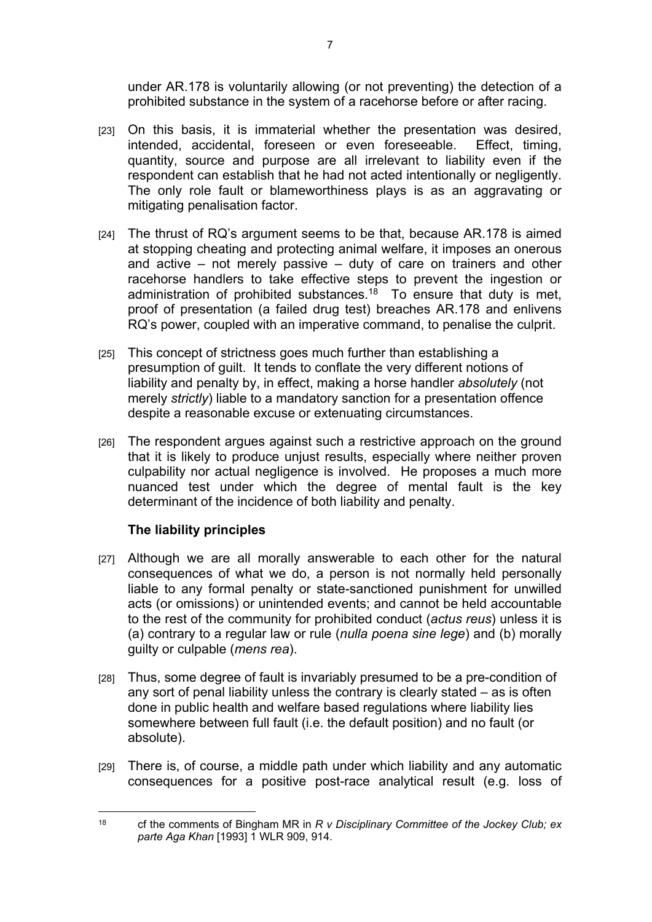under AR.178 is voluntarily allowing (or not preventing) the detection of a prohibited substance in the system of a racehorse before or after racing.

- [23] On this basis, it is immaterial whether the presentation was desired, intended, accidental, foreseen or even foreseeable. Effect, timing, quantity, source and purpose are all irrelevant to liability even if the respondent can establish that he had not acted intentionally or negligently. The only role fault or blameworthiness plays is as an aggravating or mitigating penalisation factor.
- [24] The thrust of RQ's argument seems to be that, because AR, 178 is aimed at stopping cheating and protecting animal welfare, it imposes an onerous and active – not merely passive – duty of care on trainers and other racehorse handlers to take effective steps to prevent the ingestion or administration of prohibited substances.<sup>18</sup> To ensure that duty is met. proof of presentation (a failed drug test) breaches AR.178 and enlivens RQ's power, coupled with an imperative command, to penalise the culprit.
- [25] This concept of strictness goes much further than establishing a presumption of guilt. It tends to conflate the very different notions of liability and penalty by, in effect, making a horse handler *absolutely* (not merely *strictly*) liable to a mandatory sanction for a presentation offence despite a reasonable excuse or extenuating circumstances.
- [26] The respondent argues against such a restrictive approach on the ground that it is likely to produce unjust results, especially where neither proven culpability nor actual negligence is involved. He proposes a much more nuanced test under which the degree of mental fault is the key determinant of the incidence of both liability and penalty.

### **The liability principles**

- [27] Although we are all morally answerable to each other for the natural consequences of what we do, a person is not normally held personally liable to any formal penalty or state-sanctioned punishment for unwilled acts (or omissions) or unintended events; and cannot be held accountable to the rest of the community for prohibited conduct (*actus reus*) unless it is (a) contrary to a regular law or rule (*nulla poena sine lege*) and (b) morally guilty or culpable (*mens rea*).
- [28] Thus, some degree of fault is invariably presumed to be a pre-condition of any sort of penal liability unless the contrary is clearly stated – as is often done in public health and welfare based regulations where liability lies somewhere between full fault (i.e. the default position) and no fault (or absolute).
- [29] There is, of course, a middle path under which liability and any automatic consequences for a positive post-race analytical result (e.g. loss of

<sup>18</sup> cf the comments of Bingham MR in *R v Disciplinary Committee of the Jockey Club; ex parte Aga Khan* [1993] 1 WLR 909, 914.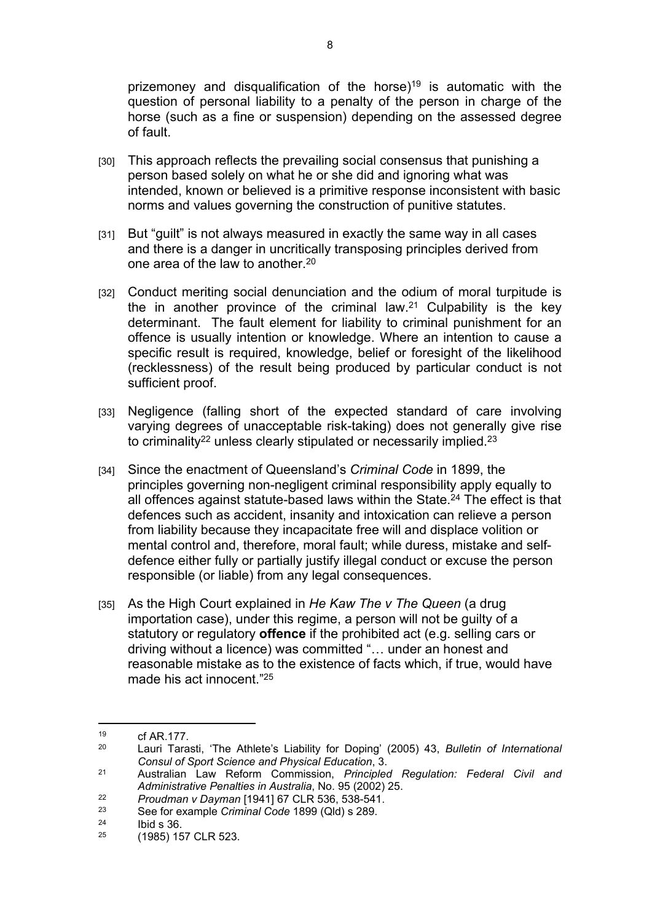prizemoney and disqualification of the horse)<sup>19</sup> is automatic with the question of personal liability to a penalty of the person in charge of the horse (such as a fine or suspension) depending on the assessed degree of fault.

- [30] This approach reflects the prevailing social consensus that punishing a person based solely on what he or she did and ignoring what was intended, known or believed is a primitive response inconsistent with basic norms and values governing the construction of punitive statutes.
- [31] But "guilt" is not always measured in exactly the same way in all cases and there is a danger in uncritically transposing principles derived from one area of the law to another.<sup>20</sup>
- [32] Conduct meriting social denunciation and the odium of moral turpitude is the in another province of the criminal law.<sup>21</sup> Culpability is the key determinant. The fault element for liability to criminal punishment for an offence is usually intention or knowledge. Where an intention to cause a specific result is required, knowledge, belief or foresight of the likelihood (recklessness) of the result being produced by particular conduct is not sufficient proof.
- [33] Negligence (falling short of the expected standard of care involving varying degrees of unacceptable risk-taking) does not generally give rise to criminality<sup>22</sup> unless clearly stipulated or necessarily implied.<sup>23</sup>
- [34] Since the enactment of Queensland's *Criminal Code* in 1899, the principles governing non-negligent criminal responsibility apply equally to all offences against statute-based laws within the State.<sup>24</sup> The effect is that defences such as accident, insanity and intoxication can relieve a person from liability because they incapacitate free will and displace volition or mental control and, therefore, moral fault; while duress, mistake and selfdefence either fully or partially justify illegal conduct or excuse the person responsible (or liable) from any legal consequences.
- [35] As the High Court explained in *He Kaw The v The Queen* (a drug importation case), under this regime, a person will not be guilty of a statutory or regulatory **offence** if the prohibited act (e.g. selling cars or driving without a licence) was committed "… under an honest and reasonable mistake as to the existence of facts which, if true, would have made his act innocent."<sup>25</sup>

 $19$  cf AR.177.<br>  $19$  Lauri Tara

<sup>20</sup> Lauri Tarasti, 'The Athlete's Liability for Doping' (2005) 43, *Bulletin of International Consul of Sport Science and Physical Education*, 3.

<sup>21</sup> Australian Law Reform Commission, *Principled Regulation: Federal Civil and Administrative Penalties in Australia*, No. 95 (2002) 25.

<sup>22</sup> *Proudman v Dayman* [1941] 67 CLR 536, 538-541.

<sup>23</sup> See for example *Criminal Code* 1899 (Qld) s 289.

 $\frac{24}{25}$  Ibid s 36.

<sup>25</sup> (1985) 157 CLR 523.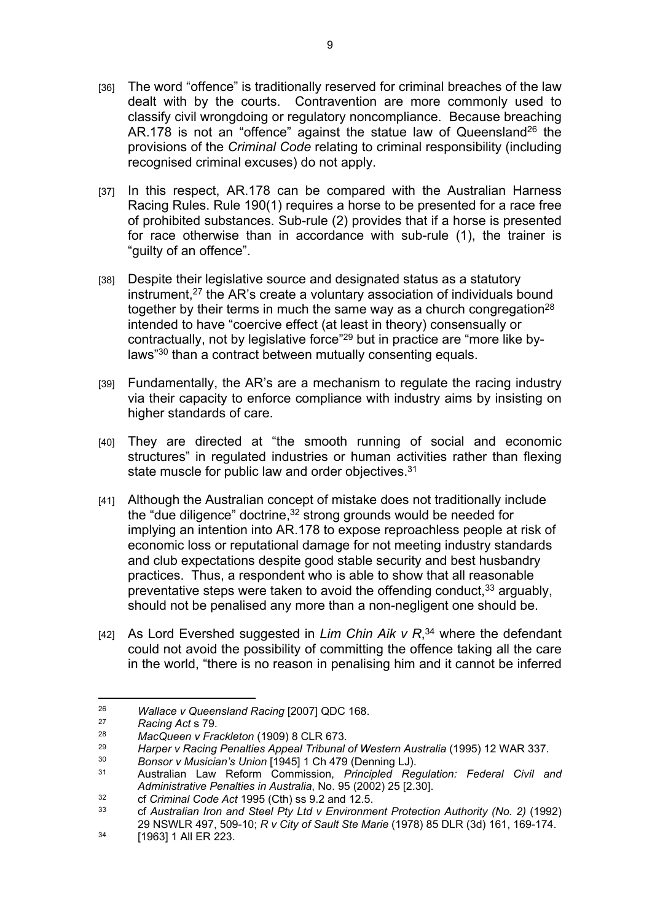- [36] The word "offence" is traditionally reserved for criminal breaches of the law dealt with by the courts. Contravention are more commonly used to classify civil wrongdoing or regulatory noncompliance. Because breaching AR.178 is not an "offence" against the statue law of Queensland<sup>26</sup> the provisions of the *Criminal Code* relating to criminal responsibility (including recognised criminal excuses) do not apply.
- [37] In this respect, AR.178 can be compared with the Australian Harness Racing Rules. Rule 190(1) requires a horse to be presented for a race free of prohibited substances. Sub-rule (2) provides that if a horse is presented for race otherwise than in accordance with sub-rule (1), the trainer is "guilty of an offence".
- [38] Despite their legislative source and designated status as a statutory instrument,<sup>27</sup> the AR's create a voluntary association of individuals bound together by their terms in much the same way as a church congregation<sup>28</sup> intended to have "coercive effect (at least in theory) consensually or contractually, not by legislative force"29 but in practice are "more like bylaws"<sup>30</sup> than a contract between mutually consenting equals.
- [39] Fundamentally, the AR's are a mechanism to regulate the racing industry via their capacity to enforce compliance with industry aims by insisting on higher standards of care.
- [40] They are directed at "the smooth running of social and economic structures" in regulated industries or human activities rather than flexing state muscle for public law and order objectives.<sup>31</sup>
- [41] Although the Australian concept of mistake does not traditionally include the "due diligence" doctrine,<sup>32</sup> strong grounds would be needed for implying an intention into AR.178 to expose reproachless people at risk of economic loss or reputational damage for not meeting industry standards and club expectations despite good stable security and best husbandry practices. Thus, a respondent who is able to show that all reasonable preventative steps were taken to avoid the offending conduct,  $33$  arguably, should not be penalised any more than a non-negligent one should be.
- [42] As Lord Evershed suggested in *Lim Chin Aik v R*, <sup>34</sup> where the defendant could not avoid the possibility of committing the offence taking all the care in the world, "there is no reason in penalising him and it cannot be inferred

<sup>&</sup>lt;sup>26</sup> *Wallace v Queensland Racing* [2007] QDC 168.<br><sup>27</sup> *Racing Act* s 79

<sup>27</sup> *Racing Act* s 79.

<sup>28</sup> *MacQueen v Frackleton* (1909) 8 CLR 673.

<sup>&</sup>lt;sup>29</sup> *Harper v Racing Penalties Appeal Tribunal of Western Australia* (1995) 12 WAR 337.<br><sup>30</sup> Pensor V Musician's Union [1945] 1 Ch 479 (Donning L.I).

<sup>30</sup> *Bonsor v Musician's Union* [1945] 1 Ch 479 (Denning LJ).

<sup>31</sup> Australian Law Reform Commission, *Principled Regulation: Federal Civil and Administrative Penalties in Australia*, No. 95 (2002) 25 [2.30].

<sup>32</sup> cf *Criminal Code Act* 1995 (Cth) ss 9.2 and 12.5.

<sup>33</sup> cf *Australian Iron and Steel Pty Ltd v Environment Protection Authority (No. 2)* (1992) 29 NSWLR 497, 509-10; *R v City of Sault Ste Marie* (1978) 85 DLR (3d) 161, 169-174.

<sup>34</sup> [1963] 1 All ER 223.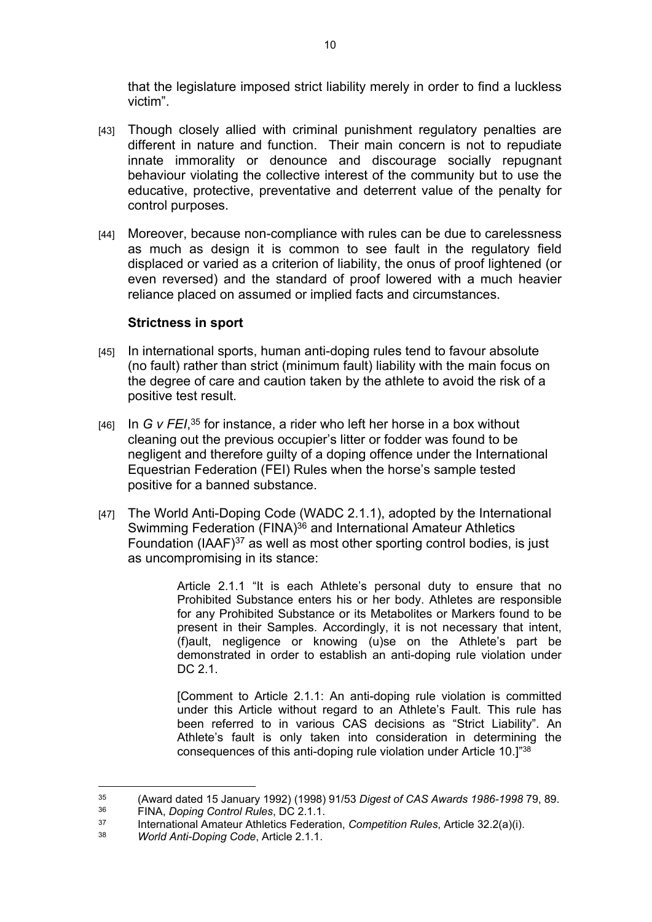that the legislature imposed strict liability merely in order to find a luckless victim".

- [43] Though closely allied with criminal punishment regulatory penalties are different in nature and function. Their main concern is not to repudiate innate immorality or denounce and discourage socially repugnant behaviour violating the collective interest of the community but to use the educative, protective, preventative and deterrent value of the penalty for control purposes.
- [44] Moreover, because non-compliance with rules can be due to carelessness as much as design it is common to see fault in the regulatory field displaced or varied as a criterion of liability, the onus of proof lightened (or even reversed) and the standard of proof lowered with a much heavier reliance placed on assumed or implied facts and circumstances.

### **Strictness in sport**

- [45] In international sports, human anti-doping rules tend to favour absolute (no fault) rather than strict (minimum fault) liability with the main focus on the degree of care and caution taken by the athlete to avoid the risk of a positive test result.
- [46] In *G v FEI*, <sup>35</sup> for instance, a rider who left her horse in a box without cleaning out the previous occupier's litter or fodder was found to be negligent and therefore guilty of a doping offence under the International Equestrian Federation (FEI) Rules when the horse's sample tested positive for a banned substance.
- [47] The World Anti-Doping Code (WADC 2.1.1), adopted by the International Swimming Federation (FINA)<sup>36</sup> and International Amateur Athletics Foundation (IAAF)<sup>37</sup> as well as most other sporting control bodies, is just as uncompromising in its stance:

Article 2.1.1 "It is each Athlete's personal duty to ensure that no Prohibited Substance enters his or her body. Athletes are responsible for any Prohibited Substance or its Metabolites or Markers found to be present in their Samples. Accordingly, it is not necessary that intent, (f)ault, negligence or knowing (u)se on the Athlete's part be demonstrated in order to establish an anti-doping rule violation under DC 2.1.

[Comment to Article 2.1.1: An anti-doping rule violation is committed under this Article without regard to an Athlete's Fault. This rule has been referred to in various CAS decisions as "Strict Liability". An Athlete's fault is only taken into consideration in determining the consequences of this anti-doping rule violation under Article 10.]"<sup>38</sup>

<sup>35</sup> (Award dated 15 January 1992) (1998) 91/53 *Digest of CAS Awards 1986-1998* 79, 89. <sup>36</sup> FINA, *Doping Control Rules*, DC 2.1.1.

<sup>37</sup> International Amateur Athletics Federation, *Competition Rules*, Article 32.2(a)(i).

<sup>38</sup> *World Anti-Doping Code*, Article 2.1.1.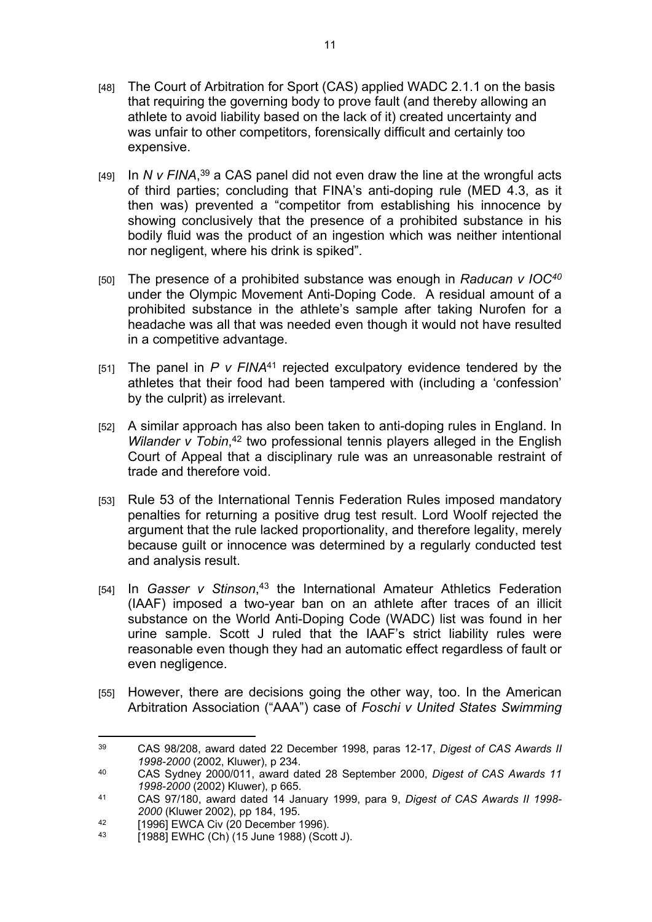- [48] The Court of Arbitration for Sport (CAS) applied WADC 2.1.1 on the basis that requiring the governing body to prove fault (and thereby allowing an athlete to avoid liability based on the lack of it) created uncertainty and was unfair to other competitors, forensically difficult and certainly too expensive.
- [49] In *N v FINA*, <sup>39</sup> a CAS panel did not even draw the line at the wrongful acts of third parties; concluding that FINA's anti-doping rule (MED 4.3, as it then was) prevented a "competitor from establishing his innocence by showing conclusively that the presence of a prohibited substance in his bodily fluid was the product of an ingestion which was neither intentional nor negligent, where his drink is spiked".
- [50] The presence of a prohibited substance was enough in *Raducan v IOC<sup>40</sup>* under the Olympic Movement Anti-Doping Code. A residual amount of a prohibited substance in the athlete's sample after taking Nurofen for a headache was all that was needed even though it would not have resulted in a competitive advantage.
- [51] The panel in *P v FINA*<sup>41</sup> rejected exculpatory evidence tendered by the athletes that their food had been tampered with (including a 'confession' by the culprit) as irrelevant.
- [52] A similar approach has also been taken to anti-doping rules in England. In Wilander v Tobin,<sup>42</sup> two professional tennis players alleged in the English Court of Appeal that a disciplinary rule was an unreasonable restraint of trade and therefore void.
- [53] Rule 53 of the International Tennis Federation Rules imposed mandatory penalties for returning a positive drug test result. Lord Woolf rejected the argument that the rule lacked proportionality, and therefore legality, merely because guilt or innocence was determined by a regularly conducted test and analysis result.
- [54] In *Gasser v Stinson*, <sup>43</sup> the International Amateur Athletics Federation (IAAF) imposed a two-year ban on an athlete after traces of an illicit substance on the World Anti-Doping Code (WADC) list was found in her urine sample. Scott J ruled that the IAAF's strict liability rules were reasonable even though they had an automatic effect regardless of fault or even negligence.
- [55] However, there are decisions going the other way, too. In the American Arbitration Association ("AAA") case of *Foschi v United States Swimming*

<sup>39</sup> CAS 98/208, award dated 22 December 1998, paras 12-17, *Digest of CAS Awards II 1998-2000* (2002, Kluwer), p 234.

<sup>40</sup> CAS Sydney 2000/011, award dated 28 September 2000, *Digest of CAS Awards 11 1998-2000* (2002) Kluwer), p 665.

<sup>41</sup> CAS 97/180, award dated 14 January 1999, para 9, *Digest of CAS Awards II 1998- 2000* (Kluwer 2002), pp 184, 195.

<sup>42 [1996]</sup> EWCA Civ (20 December 1996).<br>43 [1988] EWHO (Ch) (15 June 1988) (See

<sup>[1988]</sup> EWHC (Ch) (15 June 1988) (Scott J).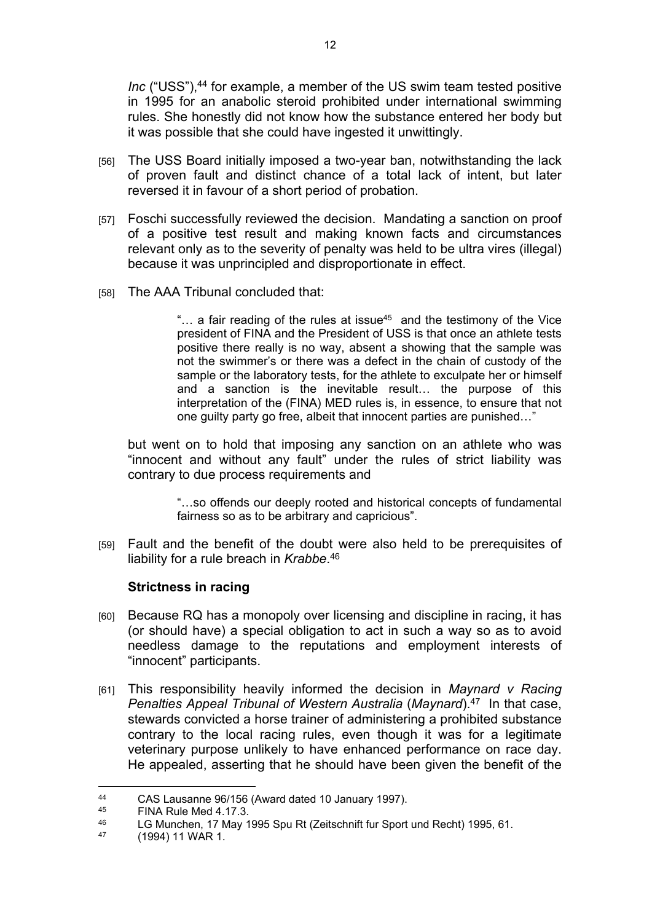*Inc* ("USS"),<sup>44</sup> for example, a member of the US swim team tested positive in 1995 for an anabolic steroid prohibited under international swimming rules. She honestly did not know how the substance entered her body but it was possible that she could have ingested it unwittingly.

- [56] The USS Board initially imposed a two-year ban, notwithstanding the lack of proven fault and distinct chance of a total lack of intent, but later reversed it in favour of a short period of probation.
- [57] Foschi successfully reviewed the decision. Mandating a sanction on proof of a positive test result and making known facts and circumstances relevant only as to the severity of penalty was held to be ultra vires (illegal) because it was unprincipled and disproportionate in effect.
- [58] The AAA Tribunal concluded that:

"... a fair reading of the rules at issue<sup>45</sup> and the testimony of the Vice president of FINA and the President of USS is that once an athlete tests positive there really is no way, absent a showing that the sample was not the swimmer's or there was a defect in the chain of custody of the sample or the laboratory tests, for the athlete to exculpate her or himself and a sanction is the inevitable result… the purpose of this interpretation of the (FINA) MED rules is, in essence, to ensure that not one guilty party go free, albeit that innocent parties are punished…"

but went on to hold that imposing any sanction on an athlete who was "innocent and without any fault" under the rules of strict liability was contrary to due process requirements and

> "…so offends our deeply rooted and historical concepts of fundamental fairness so as to be arbitrary and capricious".

[59] Fault and the benefit of the doubt were also held to be prerequisites of liability for a rule breach in *Krabbe*. 46

### **Strictness in racing**

- [60] Because RQ has a monopoly over licensing and discipline in racing, it has (or should have) a special obligation to act in such a way so as to avoid needless damage to the reputations and employment interests of "innocent" participants.
- [61] This responsibility heavily informed the decision in *Maynard v Racing Penalties Appeal Tribunal of Western Australia* (*Maynard*).<sup>47</sup> In that case, stewards convicted a horse trainer of administering a prohibited substance contrary to the local racing rules, even though it was for a legitimate veterinary purpose unlikely to have enhanced performance on race day. He appealed, asserting that he should have been given the benefit of the

<sup>&</sup>lt;sup>44</sup> CAS Lausanne 96/156 (Award dated 10 January 1997).

 $^{45}$  FINA Rule Med 4.17.3.

 $^{46}$  LG Munchen, 17 May 1995 Spu Rt (Zeitschnift fur Sport und Recht) 1995, 61.<br> $^{47}$  (1994) 11 WAR 1

<sup>(1994) 11</sup> WAR 1.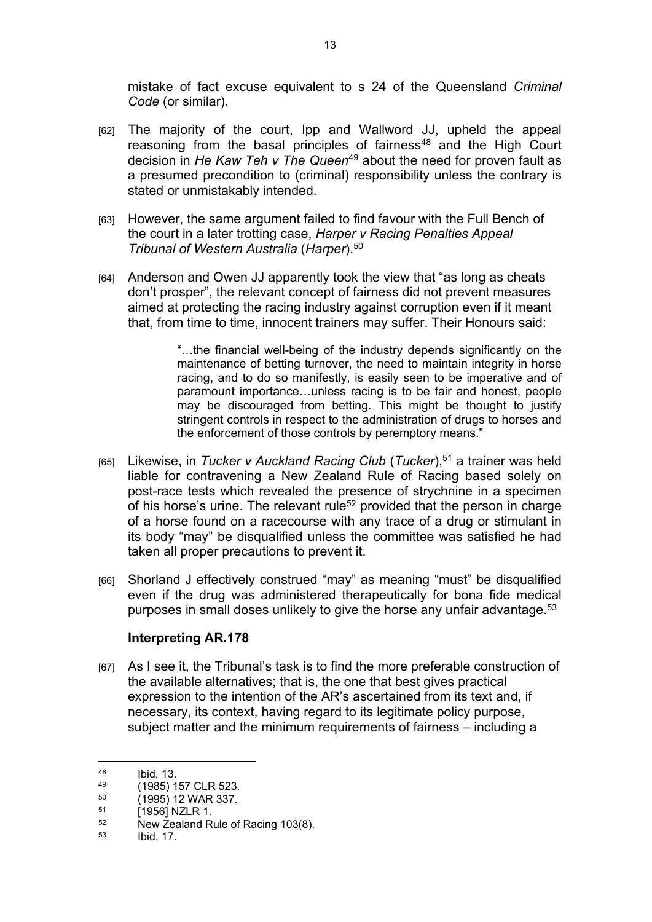mistake of fact excuse equivalent to s 24 of the Queensland *Criminal Code* (or similar).

- [62] The majority of the court, Ipp and Wallword JJ, upheld the appeal reasoning from the basal principles of fairness<sup>48</sup> and the High Court decision in *He Kaw Teh v The Queen*<sup>49</sup> about the need for proven fault as a presumed precondition to (criminal) responsibility unless the contrary is stated or unmistakably intended.
- [63] However, the same argument failed to find favour with the Full Bench of the court in a later trotting case, *Harper v Racing Penalties Appeal Tribunal of Western Australia* (*Harper*).<sup>50</sup>
- [64] Anderson and Owen JJ apparently took the view that "as long as cheats don't prosper", the relevant concept of fairness did not prevent measures aimed at protecting the racing industry against corruption even if it meant that, from time to time, innocent trainers may suffer. Their Honours said:

"…the financial well-being of the industry depends significantly on the maintenance of betting turnover, the need to maintain integrity in horse racing, and to do so manifestly, is easily seen to be imperative and of paramount importance…unless racing is to be fair and honest, people may be discouraged from betting. This might be thought to justify stringent controls in respect to the administration of drugs to horses and the enforcement of those controls by peremptory means."

- [65] Likewise, in *Tucker v Auckland Racing Club* (*Tucker*),<sup>51</sup> a trainer was held liable for contravening a New Zealand Rule of Racing based solely on post-race tests which revealed the presence of strychnine in a specimen of his horse's urine. The relevant rule<sup>52</sup> provided that the person in charge of a horse found on a racecourse with any trace of a drug or stimulant in its body "may" be disqualified unless the committee was satisfied he had taken all proper precautions to prevent it.
- [66] Shorland J effectively construed "may" as meaning "must" be disqualified even if the drug was administered therapeutically for bona fide medical purposes in small doses unlikely to give the horse any unfair advantage.<sup>53</sup>

### **Interpreting AR.178**

[67] As I see it, the Tribunal's task is to find the more preferable construction of the available alternatives; that is, the one that best gives practical expression to the intention of the AR's ascertained from its text and, if necessary, its context, having regard to its legitimate policy purpose, subject matter and the minimum requirements of fairness – including a

 $148$  Ibid, 13.<br>  $149$  (1085) 1

 $^{49}$  (1985) 157 CLR 523.<br>50 (1995) 12 MAD 337

 $^{50}$  (1995) 12 WAR 337.

 $^{51}$  [1956] NZLR 1.<br> $^{52}$  New Zealand R

 $52$  New Zealand Rule of Racing 103(8).<br> $53$  kid 17

Ibid, 17.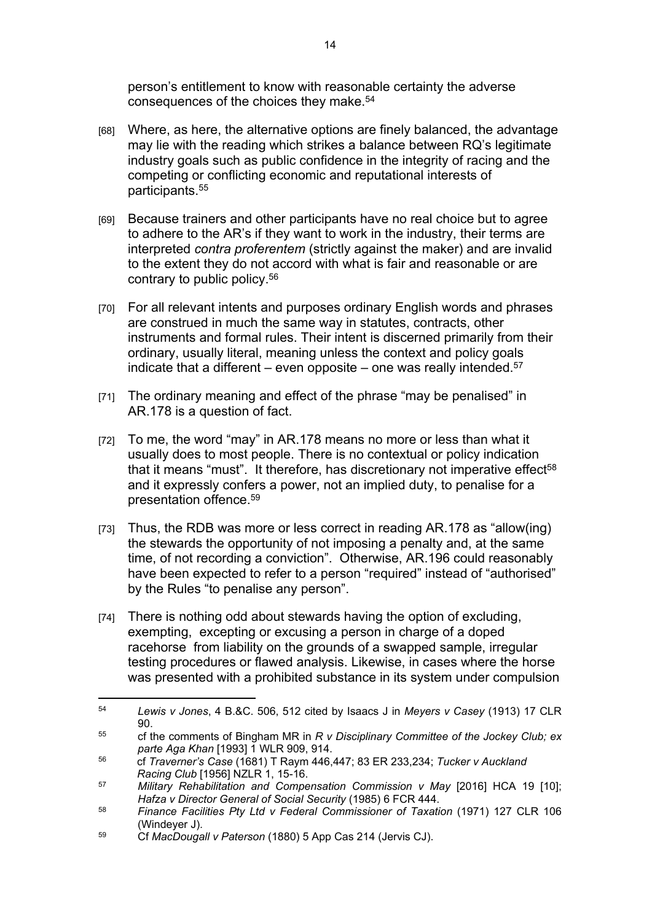person's entitlement to know with reasonable certainty the adverse consequences of the choices they make.<sup>54</sup>

- [68] Where, as here, the alternative options are finely balanced, the advantage may lie with the reading which strikes a balance between RQ's legitimate industry goals such as public confidence in the integrity of racing and the competing or conflicting economic and reputational interests of participants.<sup>55</sup>
- [69] Because trainers and other participants have no real choice but to agree to adhere to the AR's if they want to work in the industry, their terms are interpreted *contra proferentem* (strictly against the maker) and are invalid to the extent they do not accord with what is fair and reasonable or are contrary to public policy.<sup>56</sup>
- [70] For all relevant intents and purposes ordinary English words and phrases are construed in much the same way in statutes, contracts, other instruments and formal rules. Their intent is discerned primarily from their ordinary, usually literal, meaning unless the context and policy goals indicate that a different – even opposite – one was really intended.<sup>57</sup>
- [71] The ordinary meaning and effect of the phrase "may be penalised" in AR.178 is a question of fact.
- [72] To me, the word "may" in AR.178 means no more or less than what it usually does to most people. There is no contextual or policy indication that it means "must". It therefore, has discretionary not imperative effect<sup>58</sup> and it expressly confers a power, not an implied duty, to penalise for a presentation offence.<sup>59</sup>
- [73] Thus, the RDB was more or less correct in reading AR.178 as "allow(ing) the stewards the opportunity of not imposing a penalty and, at the same time, of not recording a conviction". Otherwise, AR.196 could reasonably have been expected to refer to a person "required" instead of "authorised" by the Rules "to penalise any person".
- [74] There is nothing odd about stewards having the option of excluding, exempting, excepting or excusing a person in charge of a doped racehorse from liability on the grounds of a swapped sample, irregular testing procedures or flawed analysis. Likewise, in cases where the horse was presented with a prohibited substance in its system under compulsion

<sup>54</sup> *Lewis v Jones*, 4 B.&C. 506, 512 cited by Isaacs J in *Meyers v Casey* (1913) 17 CLR 90.

<sup>55</sup> cf the comments of Bingham MR in *R v Disciplinary Committee of the Jockey Club; ex parte Aga Khan* [1993] 1 WLR 909, 914.

<sup>56</sup> cf *Traverner's Case* (1681) T Raym 446,447; 83 ER 233,234; *Tucker v Auckland Racing Club* [1956] NZLR 1, 15-16.

<sup>57</sup> *Military Rehabilitation and Compensation Commission v May* [2016] HCA 19 [10]; *Hafza v Director General of Social Security* (1985) 6 FCR 444.

<sup>58</sup> *Finance Facilities Pty Ltd v Federal Commissioner of Taxation* (1971) 127 CLR 106 (Windeyer J).

<sup>59</sup> Cf *MacDougall v Paterson* (1880) 5 App Cas 214 (Jervis CJ).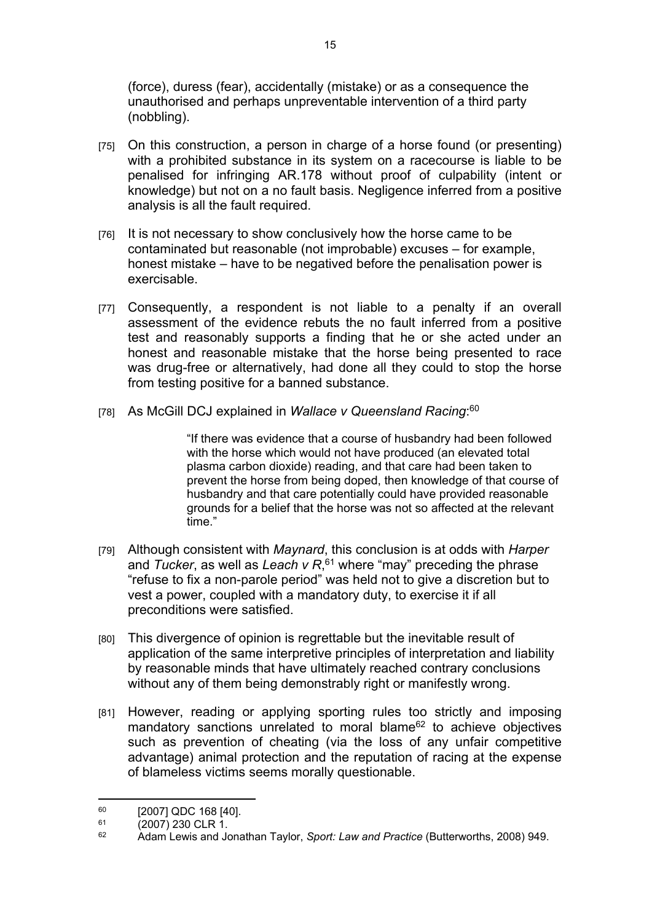(force), duress (fear), accidentally (mistake) or as a consequence the unauthorised and perhaps unpreventable intervention of a third party (nobbling).

- [75] On this construction, a person in charge of a horse found (or presenting) with a prohibited substance in its system on a racecourse is liable to be penalised for infringing AR.178 without proof of culpability (intent or knowledge) but not on a no fault basis. Negligence inferred from a positive analysis is all the fault required.
- [76] It is not necessary to show conclusively how the horse came to be contaminated but reasonable (not improbable) excuses – for example, honest mistake – have to be negatived before the penalisation power is exercisable.
- [77] Consequently, a respondent is not liable to a penalty if an overall assessment of the evidence rebuts the no fault inferred from a positive test and reasonably supports a finding that he or she acted under an honest and reasonable mistake that the horse being presented to race was drug-free or alternatively, had done all they could to stop the horse from testing positive for a banned substance.
- [78] As McGill DCJ explained in *Wallace v Queensland Racing*: 60

"If there was evidence that a course of husbandry had been followed with the horse which would not have produced (an elevated total plasma carbon dioxide) reading, and that care had been taken to prevent the horse from being doped, then knowledge of that course of husbandry and that care potentially could have provided reasonable grounds for a belief that the horse was not so affected at the relevant time."

- [79] Although consistent with *Maynard*, this conclusion is at odds with *Harper*  and *Tucker*, as well as *Leach v R*, <sup>61</sup> where "may" preceding the phrase "refuse to fix a non-parole period" was held not to give a discretion but to vest a power, coupled with a mandatory duty, to exercise it if all preconditions were satisfied.
- [80] This divergence of opinion is regrettable but the inevitable result of application of the same interpretive principles of interpretation and liability by reasonable minds that have ultimately reached contrary conclusions without any of them being demonstrably right or manifestly wrong.
- [81] However, reading or applying sporting rules too strictly and imposing mandatory sanctions unrelated to moral blame<sup>62</sup> to achieve objectives such as prevention of cheating (via the loss of any unfair competitive advantage) animal protection and the reputation of racing at the expense of blameless victims seems morally questionable.

 $^{60}$  [2007] QDC 168 [40].

 $^{61}$  (2007) 230 CLR 1.<br> $^{62}$  Adam Lowis and Ju

<sup>62</sup> Adam Lewis and Jonathan Taylor, *Sport: Law and Practice* (Butterworths, 2008) 949.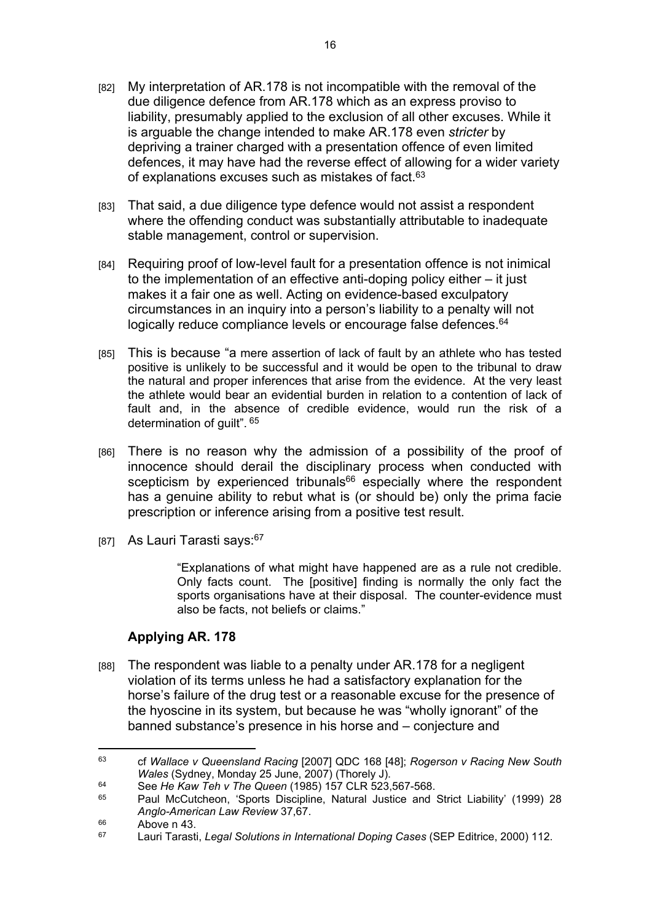- [82] My interpretation of AR.178 is not incompatible with the removal of the due diligence defence from AR.178 which as an express proviso to liability, presumably applied to the exclusion of all other excuses. While it is arguable the change intended to make AR.178 even *stricter* by depriving a trainer charged with a presentation offence of even limited defences, it may have had the reverse effect of allowing for a wider variety of explanations excuses such as mistakes of fact.<sup>63</sup>
- [83] That said, a due diligence type defence would not assist a respondent where the offending conduct was substantially attributable to inadequate stable management, control or supervision.
- [84] Requiring proof of low-level fault for a presentation offence is not inimical to the implementation of an effective anti-doping policy either – it just makes it a fair one as well. Acting on evidence-based exculpatory circumstances in an inquiry into a person's liability to a penalty will not logically reduce compliance levels or encourage false defences.<sup>64</sup>
- [85] This is because "a mere assertion of lack of fault by an athlete who has tested positive is unlikely to be successful and it would be open to the tribunal to draw the natural and proper inferences that arise from the evidence. At the very least the athlete would bear an evidential burden in relation to a contention of lack of fault and, in the absence of credible evidence, would run the risk of a determination of guilt".<sup>65</sup>
- [86] There is no reason why the admission of a possibility of the proof of innocence should derail the disciplinary process when conducted with scepticism by experienced tribunals<sup>66</sup> especially where the respondent has a genuine ability to rebut what is (or should be) only the prima facie prescription or inference arising from a positive test result.
- [87] As Lauri Tarasti says: 67

"Explanations of what might have happened are as a rule not credible. Only facts count. The [positive] finding is normally the only fact the sports organisations have at their disposal. The counter-evidence must also be facts, not beliefs or claims."

### **Applying AR. 178**

[88] The respondent was liable to a penalty under AR.178 for a negligent violation of its terms unless he had a satisfactory explanation for the horse's failure of the drug test or a reasonable excuse for the presence of the hyoscine in its system, but because he was "wholly ignorant" of the banned substance's presence in his horse and – conjecture and

<sup>63</sup> cf *Wallace v Queensland Racing* [2007] QDC 168 [48]; *Rogerson v Racing New South Wales* (Sydney, Monday 25 June, 2007) (Thorely J).

<sup>64</sup> See *He Kaw Teh v The Queen* (1985) 157 CLR 523,567-568.

<sup>65</sup> Paul McCutcheon, 'Sports Discipline, Natural Justice and Strict Liability' (1999) 28 *Anglo-American Law Review* 37,67.

 $^{66}$  Above n 43.

<sup>67</sup> Lauri Tarasti, *Legal Solutions in International Doping Cases* (SEP Editrice, 2000) 112.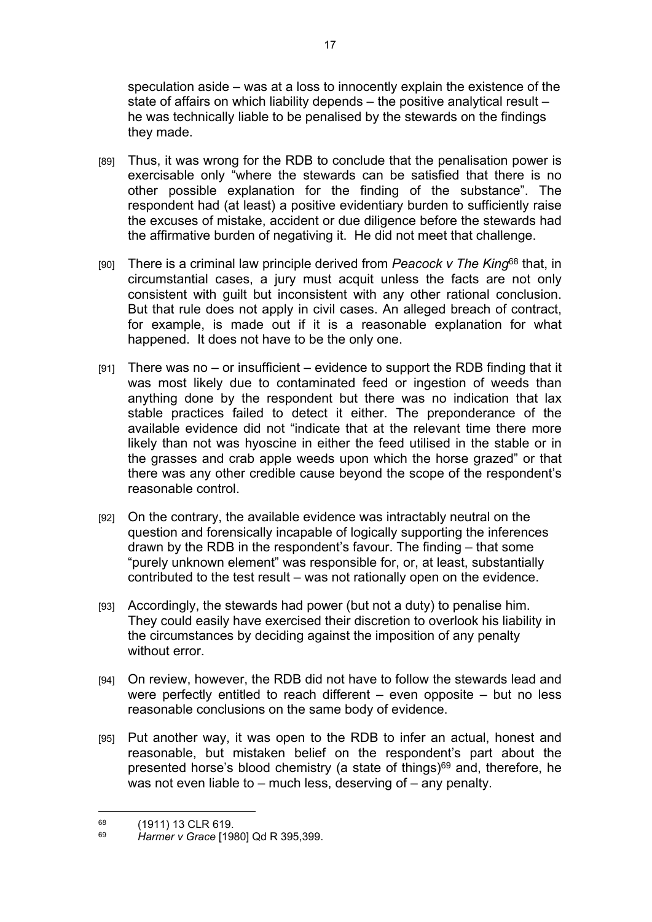speculation aside – was at a loss to innocently explain the existence of the state of affairs on which liability depends – the positive analytical result – he was technically liable to be penalised by the stewards on the findings they made.

- [89] Thus, it was wrong for the RDB to conclude that the penalisation power is exercisable only "where the stewards can be satisfied that there is no other possible explanation for the finding of the substance". The respondent had (at least) a positive evidentiary burden to sufficiently raise the excuses of mistake, accident or due diligence before the stewards had the affirmative burden of negativing it. He did not meet that challenge.
- [90] There is a criminal law principle derived from *Peacock v The King*<sup>68</sup> that, in circumstantial cases, a jury must acquit unless the facts are not only consistent with guilt but inconsistent with any other rational conclusion. But that rule does not apply in civil cases. An alleged breach of contract, for example, is made out if it is a reasonable explanation for what happened. It does not have to be the only one.
- $[91]$  There was no or insufficient evidence to support the RDB finding that it was most likely due to contaminated feed or ingestion of weeds than anything done by the respondent but there was no indication that lax stable practices failed to detect it either. The preponderance of the available evidence did not "indicate that at the relevant time there more likely than not was hyoscine in either the feed utilised in the stable or in the grasses and crab apple weeds upon which the horse grazed" or that there was any other credible cause beyond the scope of the respondent's reasonable control.
- [92] On the contrary, the available evidence was intractably neutral on the question and forensically incapable of logically supporting the inferences drawn by the RDB in the respondent's favour. The finding – that some "purely unknown element" was responsible for, or, at least, substantially contributed to the test result – was not rationally open on the evidence.
- [93] Accordingly, the stewards had power (but not a duty) to penalise him. They could easily have exercised their discretion to overlook his liability in the circumstances by deciding against the imposition of any penalty without error.
- [94] On review, however, the RDB did not have to follow the stewards lead and were perfectly entitled to reach different – even opposite – but no less reasonable conclusions on the same body of evidence.
- [95] Put another way, it was open to the RDB to infer an actual, honest and reasonable, but mistaken belief on the respondent's part about the presented horse's blood chemistry (a state of things)<sup>69</sup> and, therefore, he was not even liable to – much less, deserving of – any penalty.

 $^{68}$  (1911) 13 CLR 619.

<sup>69</sup> *Harmer v Grace* [1980] Qd R 395,399.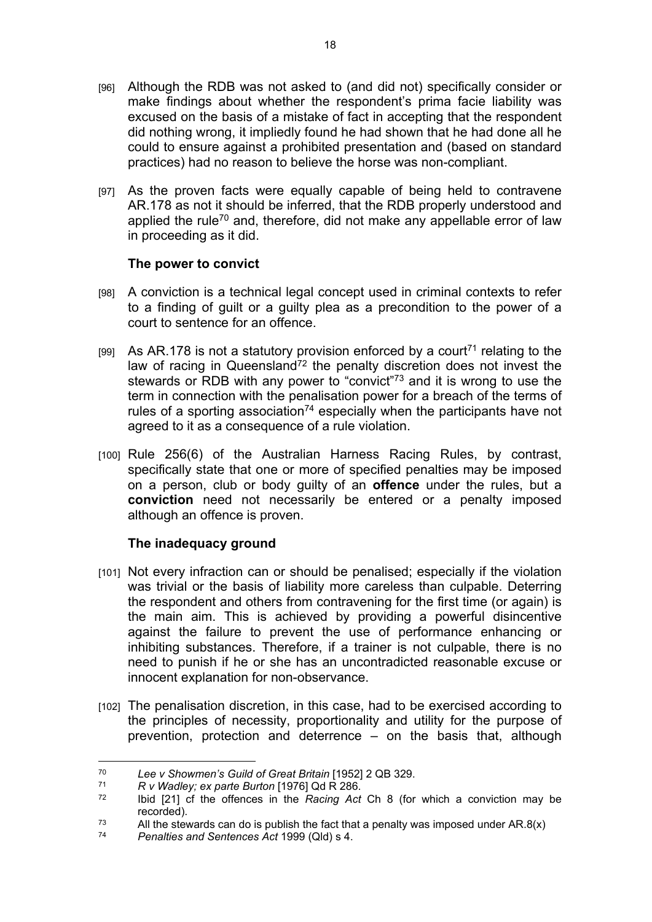- [96] Although the RDB was not asked to (and did not) specifically consider or make findings about whether the respondent's prima facie liability was excused on the basis of a mistake of fact in accepting that the respondent did nothing wrong, it impliedly found he had shown that he had done all he could to ensure against a prohibited presentation and (based on standard practices) had no reason to believe the horse was non-compliant.
- [97] As the proven facts were equally capable of being held to contravene AR.178 as not it should be inferred, that the RDB properly understood and applied the rule<sup>70</sup> and, therefore, did not make any appellable error of law in proceeding as it did.

### **The power to convict**

- [98] A conviction is a technical legal concept used in criminal contexts to refer to a finding of guilt or a guilty plea as a precondition to the power of a court to sentence for an offence.
- [99] As AR.178 is not a statutory provision enforced by a court<sup>71</sup> relating to the law of racing in Queensland<sup>72</sup> the penalty discretion does not invest the stewards or RDB with any power to "convict"<sup>73</sup> and it is wrong to use the term in connection with the penalisation power for a breach of the terms of rules of a sporting association<sup>74</sup> especially when the participants have not agreed to it as a consequence of a rule violation.
- [100] Rule 256(6) of the Australian Harness Racing Rules, by contrast, specifically state that one or more of specified penalties may be imposed on a person, club or body guilty of an **offence** under the rules, but a **conviction** need not necessarily be entered or a penalty imposed although an offence is proven.

### **The inadequacy ground**

- [101] Not every infraction can or should be penalised; especially if the violation was trivial or the basis of liability more careless than culpable. Deterring the respondent and others from contravening for the first time (or again) is the main aim. This is achieved by providing a powerful disincentive against the failure to prevent the use of performance enhancing or inhibiting substances. Therefore, if a trainer is not culpable, there is no need to punish if he or she has an uncontradicted reasonable excuse or innocent explanation for non-observance.
- [102] The penalisation discretion, in this case, had to be exercised according to the principles of necessity, proportionality and utility for the purpose of prevention, protection and deterrence – on the basis that, although

<sup>70</sup> *Lee v Showmen's Guild of Great Britain* [1952] 2 QB 329.

<sup>71</sup> *R v Wadley; ex parte Burton* [1976] Qd R 286.

<sup>72</sup> Ibid [21] cf the offences in the *Racing Act* Ch 8 (for which a conviction may be recorded).

<sup>&</sup>lt;sup>73</sup> All the stewards can do is publish the fact that a penalty was imposed under AR.8(x)<br><sup>74</sup> Benalties and Sentances Act 1999 (Old) s 4

<sup>74</sup> *Penalties and Sentences Act* 1999 (Qld) s 4.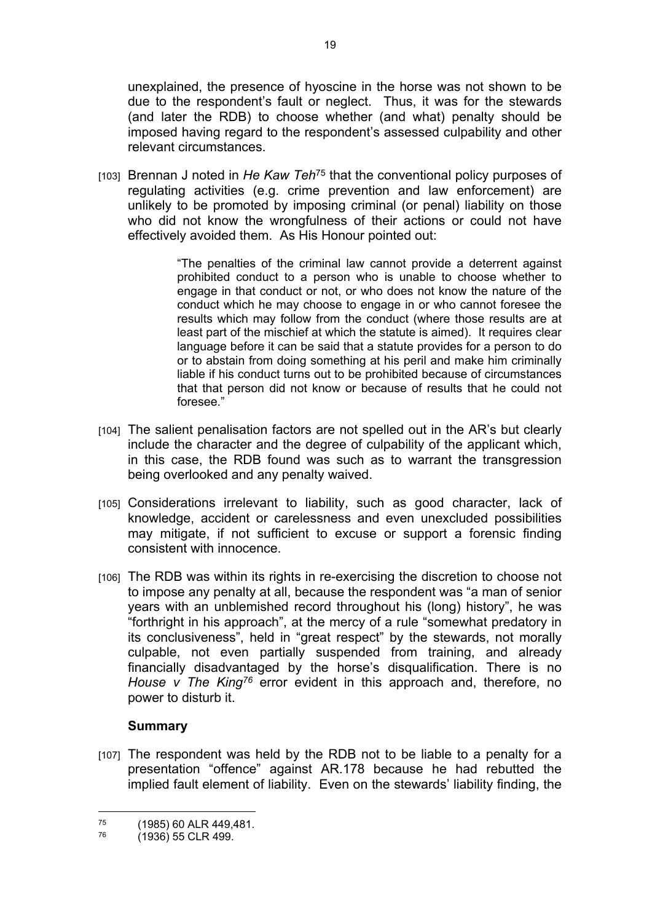unexplained, the presence of hyoscine in the horse was not shown to be due to the respondent's fault or neglect. Thus, it was for the stewards (and later the RDB) to choose whether (and what) penalty should be imposed having regard to the respondent's assessed culpability and other relevant circumstances.

[103] Brennan J noted in *He Kaw Teh*<sup>75</sup> that the conventional policy purposes of regulating activities (e.g. crime prevention and law enforcement) are unlikely to be promoted by imposing criminal (or penal) liability on those who did not know the wrongfulness of their actions or could not have effectively avoided them. As His Honour pointed out:

> "The penalties of the criminal law cannot provide a deterrent against prohibited conduct to a person who is unable to choose whether to engage in that conduct or not, or who does not know the nature of the conduct which he may choose to engage in or who cannot foresee the results which may follow from the conduct (where those results are at least part of the mischief at which the statute is aimed). It requires clear language before it can be said that a statute provides for a person to do or to abstain from doing something at his peril and make him criminally liable if his conduct turns out to be prohibited because of circumstances that that person did not know or because of results that he could not foresee."

- [104] The salient penalisation factors are not spelled out in the AR's but clearly include the character and the degree of culpability of the applicant which, in this case, the RDB found was such as to warrant the transgression being overlooked and any penalty waived.
- [105] Considerations irrelevant to liability, such as good character, lack of knowledge, accident or carelessness and even unexcluded possibilities may mitigate, if not sufficient to excuse or support a forensic finding consistent with innocence.
- [106] The RDB was within its rights in re-exercising the discretion to choose not to impose any penalty at all, because the respondent was "a man of senior years with an unblemished record throughout his (long) history", he was "forthright in his approach", at the mercy of a rule "somewhat predatory in its conclusiveness", held in "great respect" by the stewards, not morally culpable, not even partially suspended from training, and already financially disadvantaged by the horse's disqualification. There is no *House v The King<sup>76</sup>* error evident in this approach and, therefore, no power to disturb it.

### **Summary**

[107] The respondent was held by the RDB not to be liable to a penalty for a presentation "offence" against AR.178 because he had rebutted the implied fault element of liability. Even on the stewards' liability finding, the

 $^{75}$  (1985) 60 ALR 449,481.

<sup>(1936) 55</sup> CLR 499.